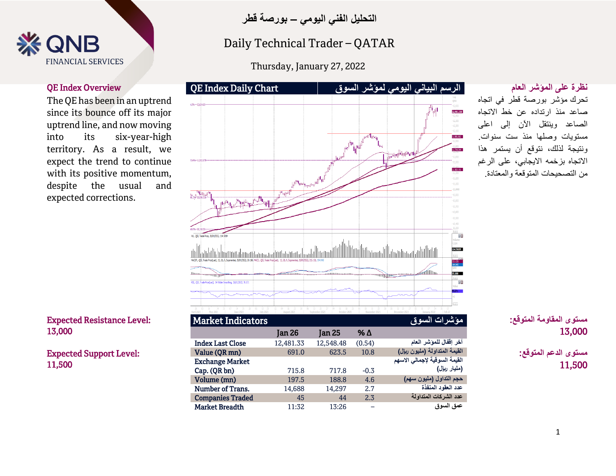

**التحليل الفني اليومي – بورصة قطر**

## Technical Spotlight Spotlight<br>Andrew Spotlight Spotlight Daily Technical Trader – QATAR

Sunday, January 14, 2018 Thursday, January 27, 2022

The QE has been in an uptrend since its bounce off its major uptrend line, and now moving into its six-year-high territory. As a result, we expect the trend to continue with its positive momentum, despite the usual and expected corrections.

### Expected Resistance Level: 13,000

Expected Support Level: 11,500



| <u>Marvel mundelors</u> |               |               |        | مرتاسة لالمستقلسة تالتار      |
|-------------------------|---------------|---------------|--------|-------------------------------|
|                         | <b>Jan 26</b> | <b>Jan 25</b> | % Δ    |                               |
| <b>Index Last Close</b> | 12,481.33     | 12,548.48     | (0.54) | آخر إقفال للموشر العام        |
| Value (QR mn)           | 691.0         | 623.5         | 10.8   | القيمة المتداولة (مليون ريإل) |
| <b>Exchange Market</b>  |               |               |        | القيمة السوقية لإجمالي الاسهم |
| Cap. (QR bn)            | 715.8         | 717.8         | $-0.3$ | (مليار ريال)                  |
| Volume (mn)             | 197.5         | 188.8         | 4.6    | حجم التداول (مليون سهم)       |
| Number of Trans.        | 14,688        | 14,297        | 2.7    | عدد العقود المنفذة            |
| <b>Companies Traded</b> | 45            | 44            | 2.3    | عدد الشركات المتداولة         |
| <b>Market Breadth</b>   | 11:32         | 13:26         |        | عمق السوق                     |

تحرك مؤشر بورصة قطر في اتجاه صاعد منذ ارتداده عن خط االتجاه الصاعد وينتقل اآلن إلى اعلى مستويات وصلها منذ ست سنوات. ونتيجة لذلك، نتوقع أن يستمر هذا االتجاه بزخمه االيجابي، على الرغم من التصحيحات المتوقعة والمعتادة.

> **مستوى المقاومة المتوقع:** 13,000

**مستوى الدعم المتوقع:** 11,500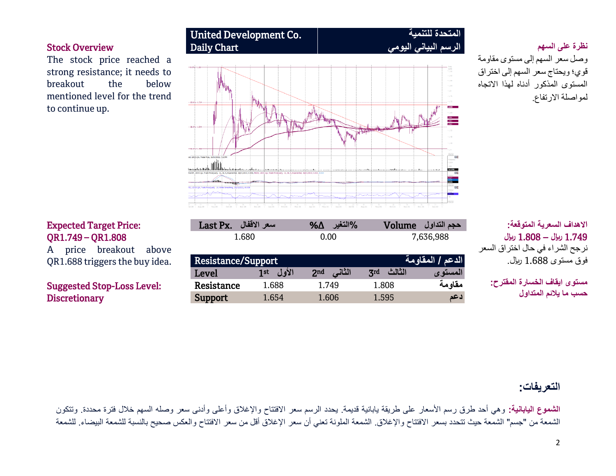The stock price reached a strong resistance; it needs to breakout the below mentioned level for the trend to continue up.



# وصل سعر السهم إلى مستوى مقاومة قوي؛ ويحتاج سعر السهم إلى اختراق المستوى المذكور أدناه لهذا االتجاه لمواصلة االرتفاع.

 **االهداف السعرية المتوقعة:** 1.749 **لاير –** 1.808 **لاير** نرجح الشراء في حال اختراق السعر فوق مستوى 1.688 لاير.

**مستوى ايقاف الخسارة المقترح: حسب ما يالئم المتداول**

## Expected Target Price: QR1.749 – QR1.808

A price breakout above QR1.688 triggers the buy idea.

## Suggested Stop-Loss Level: **Discretionary**

| Resistance/Support |              | الدعم / المقاومة ا        |               |          |
|--------------------|--------------|---------------------------|---------------|----------|
| Level              | الأول<br>1st | الثاني<br>2 <sub>nd</sub> | الثالث<br>Zrd | المستو ي |
| Resistance         | 1.688        | 1.749                     | 1.808         | مقاومة   |
| Support            | 1.654        | 1.606                     | 1.595         | 1 عد     |

**حجم التداول** Volume **%التغير** ∆% **سعر االقفال** .Px Last 1.680 0.00 7,636,988

## **التعريفات:**

ا**لشموع اليابانية:** وهي أحد طرق رسم الأسعار على طريقة يابانية قديمة<sub>.</sub> يحدد الرسم سعر الافتتاح والإغلاق وأعلى وأدنى سعر وصله السهم خلال فترة محددة. وتتكون الشمعة من "جسم" الشمعة حيث تتحدد بسعر الافتتاح والإغلاق. الشمعة الملونة تعني أن سعر الإغالق أقل من سعر الافتتاح والعكس صحيح بالنسبة للشمعة البيضاء. للشمعة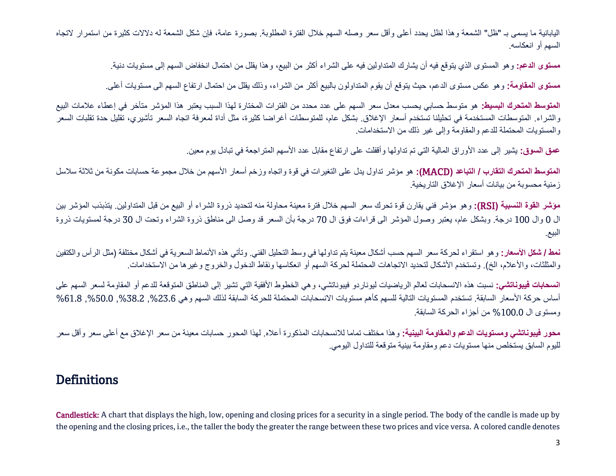اليابانية ما يسمى بـ "ظل" الشمعة وهذا لظل يحدد أعلى وأقل سعر وصله السهم خالل الفترة المطلوبة. بصورة عامة، فإن شكل الشمعة له دالالت كثيرة من استمرار التجاه السهم أو انعكاسه.

**مستوى الدعم:** وهو المستوى الذي يتوقع فيه أن يشارك المتداولين فيه على الشراء أكثر من البيع، وهذا يقلل من احتمال انخفاض السهم إلى مستويات دنية.

**مستوى المقاومة:** وهو عكس مستوى الدعم، حيث يتوقع أن يقوم المتداولون بالبيع أكثر من الشراء، وذلك يقلل من احتمال ارتفاع السهم الى مستويات أعلى.

**المتوسط المتحرك البسيط:** هو متوسط حسابي يحسب معدل سعر السهم على عدد محدد من الفترات المختارة لهذا السبب يعتبر هذا المؤشر متأخر في إعطاء عالمات البيع والشراء. المتوسطات المستخدمة في تحليلنا تستخدم أسعار الإغلاق. بشكل عام، للمتوسطات أغراضا كثيرة، مثل أداة لمعرفة اتجاه السعر تأشيري، تقليل حدة تقلبات السعر والمستويات المحتملة للدعم والمقاومة وإلى غير ذلك من االستخدامات.

**عمق السوق:** يشير إلى عدد األوراق المالية التي تم تداولها وأقفلت على ارتفاع مقابل عدد األسهم المتراجعة في تبادل يوم معين.

**المتوسط المتحرك التقارب / التباعد )**MACD**):** هو مؤشر تداول يدل على التغيرات في قوة واتجاه وزخم أسعار األسهم من خالل مجموعة حسابات مكونة من ثالثة سالسل زمنية محسوبة من بيانات أسعار اإلغالق التاريخية.

**مؤشر القوة النسبية )**RSI**):** وهو مؤشر فني يقارن قوة تحرك سعر السهم خالل فترة معينة محاولة منه لتحديد ذروة الشراء أو البيع من قبل المتداولين. يتذبذب المؤشر بين ال 0 وال 100 درجة. وبشكل عام، يعتبر وصول المؤشر الى قراءات فوق ال 70 درجة بأن السعر قد وصل الى مناطق ذروة الشراء وتحت ال 30 درجة لمستويات ذروة البيع.

**نمط / شكل الأسعار:** وهو استقراء لحركة سعر السهم حسب أشكال معينة يتم تداولها في وسط التحليل الفني. وتأتي هذه الأنماط السعرية في أشكال مختلفة (مثل الرأس والكتفين والمثلثات، والأعلام، الخ). وتستخدم الأشكال لتحديد الاتجاهات المحتملة لحركة السهم أو انعكاسها ونقاط الدخول والخروج وغيرها من الاستخدامات.

**انسحابات فيبوناتشي:** نسبت هذه االنسحابات لعالم الرياضيات ليوناردو فيبوناتشي، وهي الخطوط األفقية التي تشير إلى المناطق المتوقعة للدعم أو المقاومة لسعر السهم على أساس حركة الأسعار السابقة. تستخدم المستويات التالية للسهم كأهم مستويات الانسحابات المحتملة للحركة السابقة لذلك السهم وهي 23.6%, 50.0%, 61.8%, 61.8% ,%50.0 ومستوى ال %100.0 من أجزاء الحركة السابقة.

**محور فيبوناتشي ومستويات الدعم والمقاومة البينية:** وهذا مختلف تماما لالنسحابات المذكورة أعاله. لهذا المحور حسابات معينة من سعر اإلغالق مع أعلى سعر وأقل سعر لليوم السابق يستخلص منها مستويات دعم ومقاومة بينية متوقعة للتداول اليومي.

# **Definitions**

Candlestick: A chart that displays the high, low, opening and closing prices for a security in a single period. The body of the candle is made up by the opening and the closing prices, i.e., the taller the body the greater the range between these two prices and vice versa. A colored candle denotes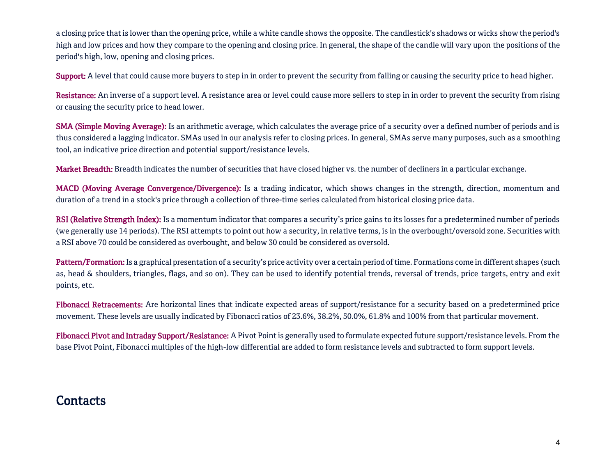a closing price that is lower than the opening price, while a white candle shows the opposite. The candlestick's shadows or wicks show the period's high and low prices and how they compare to the opening and closing price. In general, the shape of the candle will vary upon the positions of the period's high, low, opening and closing prices.

Support: A level that could cause more buyers to step in in order to prevent the security from falling or causing the security price to head higher.

Resistance: An inverse of a support level. A resistance area or level could cause more sellers to step in in order to prevent the security from rising or causing the security price to head lower.

SMA (Simple Moving Average): Is an arithmetic average, which calculates the average price of a security over a defined number of periods and is thus considered a lagging indicator. SMAs used in our analysis refer to closing prices. In general, SMAs serve many purposes, such as a smoothing tool, an indicative price direction and potential support/resistance levels.

Market Breadth: Breadth indicates the number of securities that have closed higher vs. the number of decliners in a particular exchange.

MACD (Moving Average Convergence/Divergence): Is a trading indicator, which shows changes in the strength, direction, momentum and duration of a trend in a stock's price through a collection of three-time series calculated from historical closing price data.

RSI (Relative Strength Index): Is a momentum indicator that compares a security's price gains to its losses for a predetermined number of periods (we generally use 14 periods). The RSI attempts to point out how a security, in relative terms, is in the overbought/oversold zone. Securities with a RSI above 70 could be considered as overbought, and below 30 could be considered as oversold.

Pattern/Formation: Is a graphical presentation of a security's price activity over a certain period of time. Formations come in different shapes (such as, head & shoulders, triangles, flags, and so on). They can be used to identify potential trends, reversal of trends, price targets, entry and exit points, etc.

Fibonacci Retracements: Are horizontal lines that indicate expected areas of support/resistance for a security based on a predetermined price movement. These levels are usually indicated by Fibonacci ratios of 23.6%, 38.2%, 50.0%, 61.8% and 100% from that particular movement.

Fibonacci Pivot and Intraday Support/Resistance: A Pivot Point is generally used to formulate expected future support/resistance levels. From the base Pivot Point, Fibonacci multiples of the high-low differential are added to form resistance levels and subtracted to form support levels.

# **Contacts**